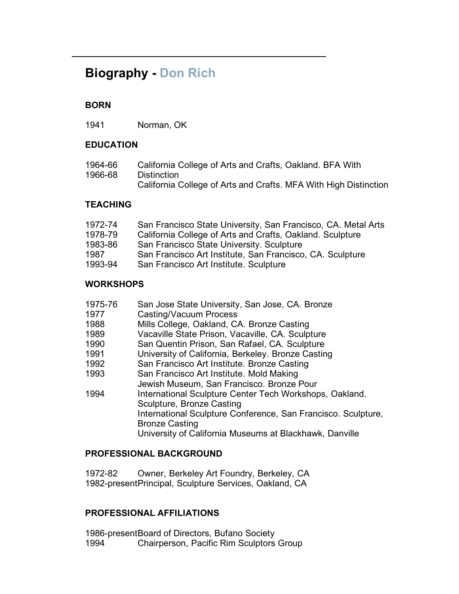# **Biography - Don Rich**

# **BORN**

1941 Norman, OK

### **EDUCATION**

| 1964-66 | California College of Arts and Crafts, Oakland. BFA With         |
|---------|------------------------------------------------------------------|
| 1966-68 | Distinction                                                      |
|         | California College of Arts and Crafts. MFA With High Distinction |

#### **TEACHING**

| 1972-74 | San Francisco State University, San Francisco, CA. Metal Arts |
|---------|---------------------------------------------------------------|
| 1978-79 | California College of Arts and Crafts, Oakland. Sculpture     |
| 1983-86 | San Francisco State University. Sculpture                     |
| 1987    | San Francisco Art Institute, San Francisco, CA. Sculpture     |
| 1993-94 | San Francisco Art Institute. Sculpture                        |

#### **WORKSHOPS**

| 1975-76 | San Jose State University, San Jose, CA. Bronze               |
|---------|---------------------------------------------------------------|
| 1977    | Casting/Vacuum Process                                        |
| 1988    | Mills College, Oakland, CA. Bronze Casting                    |
| 1989    | Vacaville State Prison, Vacaville, CA. Sculpture              |
| 1990    | San Quentin Prison, San Rafael, CA. Sculpture                 |
| 1991    | University of California, Berkeley. Bronze Casting            |
| 1992    | San Francisco Art Institute. Bronze Casting                   |
| 1993    | San Francisco Art Institute. Mold Making                      |
|         | Jewish Museum, San Francisco. Bronze Pour                     |
| 1994    | International Sculpture Center Tech Workshops, Oakland.       |
|         | Sculpture, Bronze Casting                                     |
|         | International Sculpture Conference, San Francisco. Sculpture, |
|         | <b>Bronze Casting</b>                                         |
|         | University of California Museums at Blackhawk, Danville       |
|         |                                                               |

# **PROFESSIONAL BACKGROUND**

1972-82 1982-present Principal, Sculpture Services, Oakland, CA Owner, Berkeley Art Foundry, Berkeley, CA

#### **PROFESSIONAL AFFILIATIONS**

1986-present Board of Directors, Bufano Society 1994 Chairperson, Pacific Rim Sculptors Group